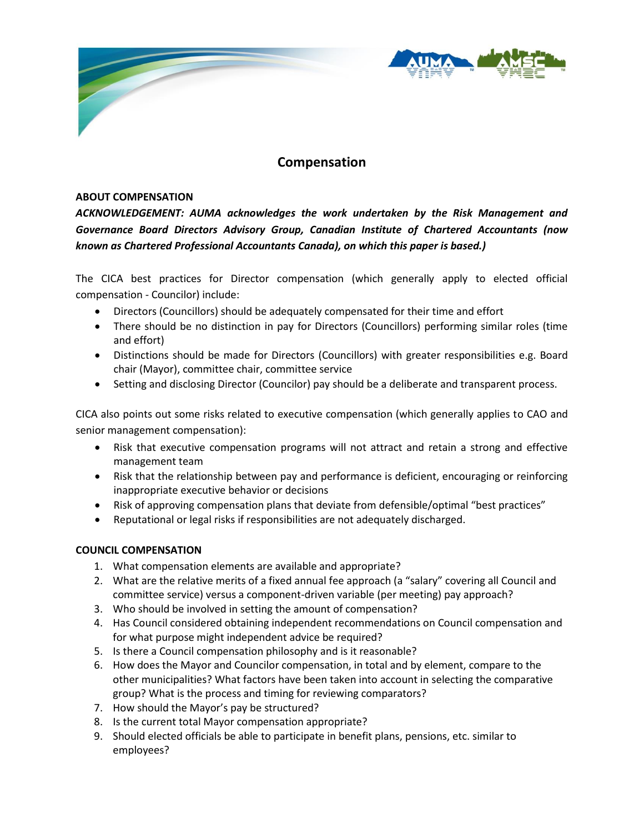

## **Compensation**

## **ABOUT COMPENSATION**

*ACKNOWLEDGEMENT: AUMA acknowledges the work undertaken by the Risk Management and Governance Board Directors Advisory Group, Canadian Institute of Chartered Accountants (now known as Chartered Professional Accountants Canada), on which this paper is based.)*

The CICA best practices for Director compensation (which generally apply to elected official compensation - Councilor) include:

- Directors (Councillors) should be adequately compensated for their time and effort
- There should be no distinction in pay for Directors (Councillors) performing similar roles (time and effort)
- Distinctions should be made for Directors (Councillors) with greater responsibilities e.g. Board chair (Mayor), committee chair, committee service
- Setting and disclosing Director (Councilor) pay should be a deliberate and transparent process.

CICA also points out some risks related to executive compensation (which generally applies to CAO and senior management compensation):

- Risk that executive compensation programs will not attract and retain a strong and effective management team
- Risk that the relationship between pay and performance is deficient, encouraging or reinforcing inappropriate executive behavior or decisions
- Risk of approving compensation plans that deviate from defensible/optimal "best practices"
- Reputational or legal risks if responsibilities are not adequately discharged.

## **COUNCIL COMPENSATION**

- 1. What compensation elements are available and appropriate?
- 2. What are the relative merits of a fixed annual fee approach (a "salary" covering all Council and committee service) versus a component-driven variable (per meeting) pay approach?
- 3. Who should be involved in setting the amount of compensation?
- 4. Has Council considered obtaining independent recommendations on Council compensation and for what purpose might independent advice be required?
- 5. Is there a Council compensation philosophy and is it reasonable?
- 6. How does the Mayor and Councilor compensation, in total and by element, compare to the other municipalities? What factors have been taken into account in selecting the comparative group? What is the process and timing for reviewing comparators?
- 7. How should the Mayor's pay be structured?
- 8. Is the current total Mayor compensation appropriate?
- 9. Should elected officials be able to participate in benefit plans, pensions, etc. similar to employees?